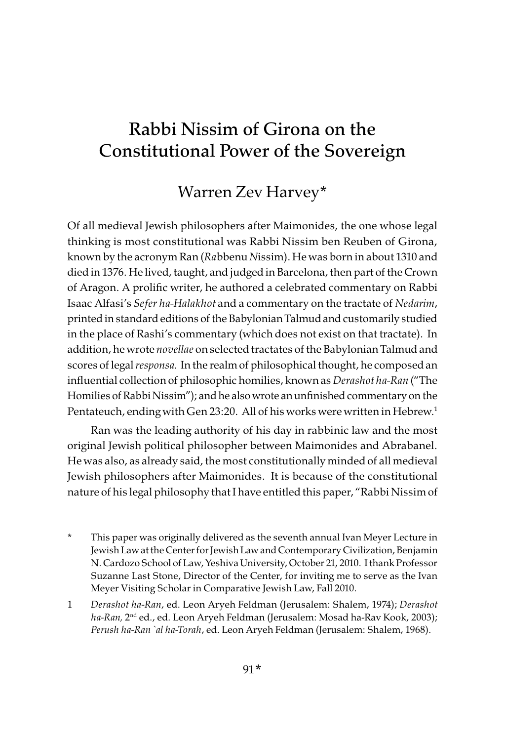# Rabbi Nissim of Girona on the Constitutional Power of the Sovereign

## Warren Zev Harvey\*

Of all medieval Jewish philosophers after Maimonides, the one whose legal thinking is most constitutional was Rabbi Nissim ben Reuben of Girona, known by the acronym Ran (Rabbenu Nissim). He was born in about 1310 and died in 1376. He lived, taught, and judged in Barcelona, then part of the Crown of Aragon. A prolific writer, he authored a celebrated commentary on Rabbi Isaac Alfasi's Sefer ha-Halakhot and a commentary on the tractate of Nedarim, printed in standard editions of the Babylonian Talmud and customarily studied in the place of Rashi's commentary (which does not exist on that tractate). In addition, he wrote novellae on selected tractates of the Babylonian Talmud and scores of legal responsa. In the realm of philosophical thought, he composed an influential collection of philosophic homilies, known as Derashot ha-Ran ("The Homilies of Rabbi Nissim"); and he also wrote an unfinished commentary on the Pentateuch, ending with Gen 23:20. All of his works were written in Hebrew.<sup>1</sup>

Ran was the leading authority of his day in rabbinic law and the most original Jewish political philosopher between Maimonides and Abrabanel. He was also, as already said, the most constitutionally minded of all medieval Jewish philosophers after Maimonides. It is because of the constitutional nature of his legal philosophy that I have entitled this paper, "Rabbi Nissim of

- This paper was originally delivered as the seventh annual Ivan Meyer Lecture in Jewish Law at the Center for Jewish Law and Contemporary Civilization, Benjamin N. Cardozo School of Law, Yeshiva University, October 21, 2010. I thank Professor Suzanne Last Stone, Director of the Center, for inviting me to serve as the Ivan Meyer Visiting Scholar in Comparative Jewish Law, Fall 2010.
- 1 Derashot ha-Ran, ed. Leon Aryeh Feldman (Jerusalem: Shalem, 1974); Derashot ha-Ran, 2<sup>nd</sup> ed., ed. Leon Aryeh Feldman (Jerusalem: Mosad ha-Rav Kook, 2003); Perush ha-Ran `al ha-Torah, ed. Leon Aryeh Feldman (Jerusalem: Shalem, 1968).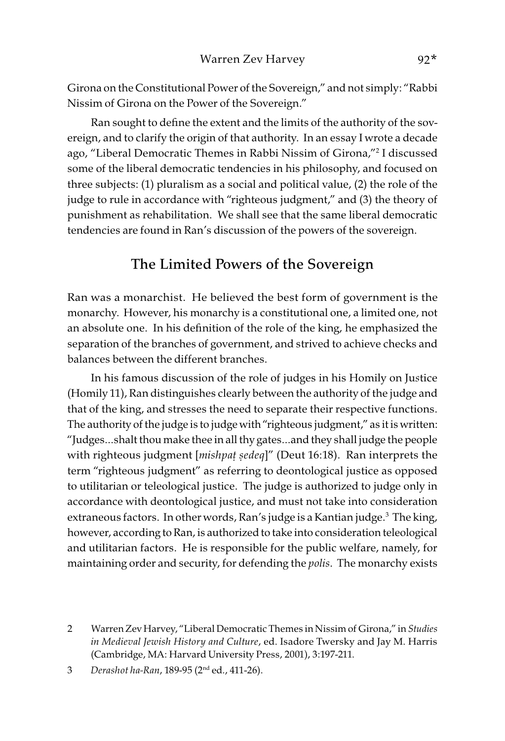Girona on the Constitutional Power of the Sovereign," and not simply: "Rabbi Nissim of Girona on the Power of the Sovereign."

Ran sought to define the extent and the limits of the authority of the sovereign, and to clarify the origin of that authority. In an essay I wrote a decade ago, "Liberal Democratic Themes in Rabbi Nissim of Girona,"2 I discussed some of the liberal democratic tendencies in his philosophy, and focused on three subjects: (1) pluralism as a social and political value, (2) the role of the judge to rule in accordance with "righteous judgment," and (3) the theory of punishment as rehabilitation. We shall see that the same liberal democratic tendencies are found in Ran's discussion of the powers of the sovereign.

#### The Limited Powers of the Sovereign

Ran was a monarchist. He believed the best form of government is the monarchy. However, his monarchy is a constitutional one, a limited one, not an absolute one. In his definition of the role of the king, he emphasized the separation of the branches of government, and strived to achieve checks and balances between the different branches.

In his famous discussion of the role of judges in his Homily on Justice (Homily 11), Ran distinguishes clearly between the authority of the judge and that of the king, and stresses the need to separate their respective functions. The authority of the judge is to judge with "righteous judgment," as it is written: "Judges…shalt thou make thee in all thy gates…and they shall judge the people with righteous judgment [mishpa*ṭ ṣ*edeq]" (Deut 16:18). Ran interprets the term "righteous judgment" as referring to deontological justice as opposed to utilitarian or teleological justice. The judge is authorized to judge only in accordance with deontological justice, and must not take into consideration extraneous factors. In other words, Ran's judge is a Kantian judge.<sup>3</sup> The king, however, according to Ran, is authorized to take into consideration teleological and utilitarian factors. He is responsible for the public welfare, namely, for maintaining order and security, for defending the *polis*. The monarchy exists

<sup>2</sup> Warren Zev Harvey, "Liberal Democratic Themes in Nissim of Girona," in Studies in Medieval Jewish History and Culture, ed. Isadore Twersky and Jay M. Harris (Cambridge, MA: Harvard University Press, 2001), 3:197-211.

<sup>3</sup> Derashot ha-Ran, 189-95 (2nd ed., 411-26).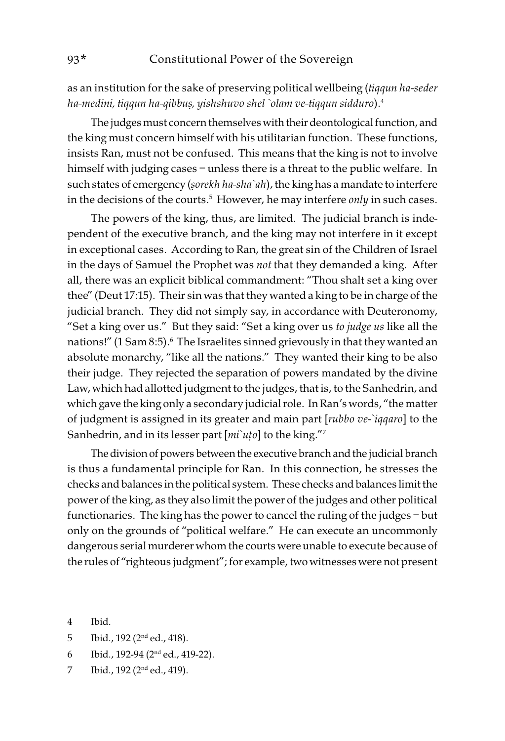as an institution for the sake of preserving political wellbeing (tiqqun ha-seder ha-medini, tiqqun ha-qibbu*ṣ*, yishshuvo shel `olam ve-tiqqun sidduro).4

The judges must concern themselves with their deontological function, and the king must concern himself with his utilitarian function. These functions, insists Ran, must not be confused. This means that the king is not to involve himself with judging cases – unless there is a threat to the public welfare. In such states of emergency (*ṣ*orekh ha-sha`ah), the king has a mandate to interfere in the decisions of the courts.<sup>5</sup> However, he may interfere *only* in such cases.

The powers of the king, thus, are limited. The judicial branch is independent of the executive branch, and the king may not interfere in it except in exceptional cases. According to Ran, the great sin of the Children of Israel in the days of Samuel the Prophet was not that they demanded a king. After all, there was an explicit biblical commandment: "Thou shalt set a king over thee" (Deut 17:15). Their sin was that they wanted a king to be in charge of the judicial branch. They did not simply say, in accordance with Deuteronomy, "Set a king over us." But they said: "Set a king over us to judge us like all the nations!" (1 Sam 8:5).<sup>6</sup> The Israelites sinned grievously in that they wanted an absolute monarchy, "like all the nations." They wanted their king to be also their judge. They rejected the separation of powers mandated by the divine Law, which had allotted judgment to the judges, that is, to the Sanhedrin, and which gave the king only a secondary judicial role. In Ran's words, "the matter of judgment is assigned in its greater and main part [rubbo ve-`iqqaro] to the Sanhedrin, and in its lesser part [mi`uto] to the king."<sup>7</sup>

The division of powers between the executive branch and the judicial branch is thus a fundamental principle for Ran. In this connection, he stresses the checks and balances in the political system. These checks and balances limit the power of the king, as they also limit the power of the judges and other political functionaries. The king has the power to cancel the ruling of the judges – but only on the grounds of "political welfare." He can execute an uncommonly dangerous serial murderer whom the courts were unable to execute because of the rules of "righteous judgment"; for example, two witnesses were not present

- 5 Ibid., 192 (2nd ed., 418).
- 6 Ibid., 192-94 (2nd ed., 419-22).
- 7 Ibid., 192 (2nd ed., 419).

<sup>4</sup> Ibid.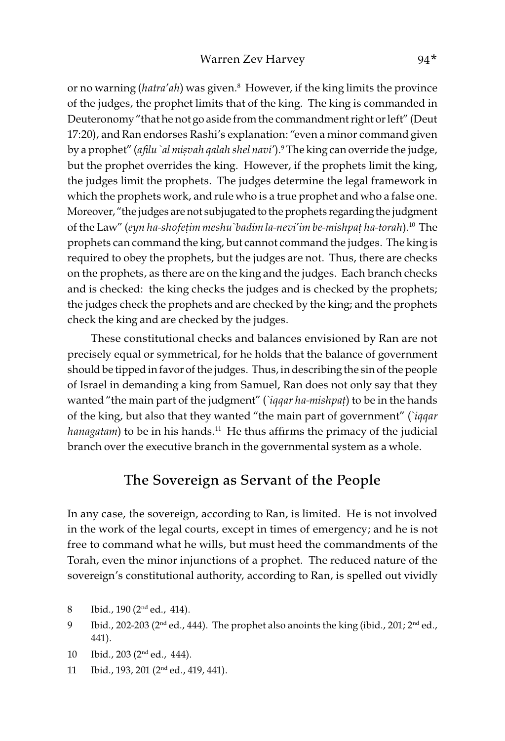or no warning (*hatra'ah*) was given.<sup>8</sup> However, if the king limits the province of the judges, the prophet limits that of the king. The king is commanded in Deuteronomy "that he not go aside from the commandment right or left" (Deut 17:20), and Ran endorses Rashi's explanation: "even a minor command given by a prophet" (afilu `al mi*ṣ*vah qalah shel navi').9 The king can override the judge, but the prophet overrides the king. However, if the prophets limit the king, the judges limit the prophets. The judges determine the legal framework in which the prophets work, and rule who is a true prophet and who a false one. Moreover, "the judges are not subjugated to the prophets regarding the judgment of the Law" (eyn ha-shofe*ṭ*im meshu`badim la-nevi'im be-mishpa*ṭ* ha-torah). <sup>10</sup> The prophets can command the king, but cannot command the judges. The king is required to obey the prophets, but the judges are not. Thus, there are checks on the prophets, as there are on the king and the judges. Each branch checks and is checked: the king checks the judges and is checked by the prophets; the judges check the prophets and are checked by the king; and the prophets check the king and are checked by the judges.

These constitutional checks and balances envisioned by Ran are not precisely equal or symmetrical, for he holds that the balance of government should be tipped in favor of the judges. Thus, in describing the sin of the people of Israel in demanding a king from Samuel, Ran does not only say that they wanted "the main part of the judgment" (`iqqar ha-mishpa*ṭ*) to be in the hands of the king, but also that they wanted "the main part of government" (`iqqar hanagatam) to be in his hands.<sup>11</sup> He thus affirms the primacy of the judicial branch over the executive branch in the governmental system as a whole.

#### The Sovereign as Servant of the People

In any case, the sovereign, according to Ran, is limited. He is not involved in the work of the legal courts, except in times of emergency; and he is not free to command what he wills, but must heed the commandments of the Torah, even the minor injunctions of a prophet. The reduced nature of the sovereign's constitutional authority, according to Ran, is spelled out vividly

- 8 Ibid., 190 (2nd ed., 414).
- 9 Ibid., 202-203 ( $2<sup>nd</sup>$  ed., 444). The prophet also anoints the king (ibid., 201;  $2<sup>nd</sup>$  ed., 441).
- 10 Ibid., 203 (2nd ed., 444).
- 11 Ibid., 193, 201 (2nd ed., 419, 441).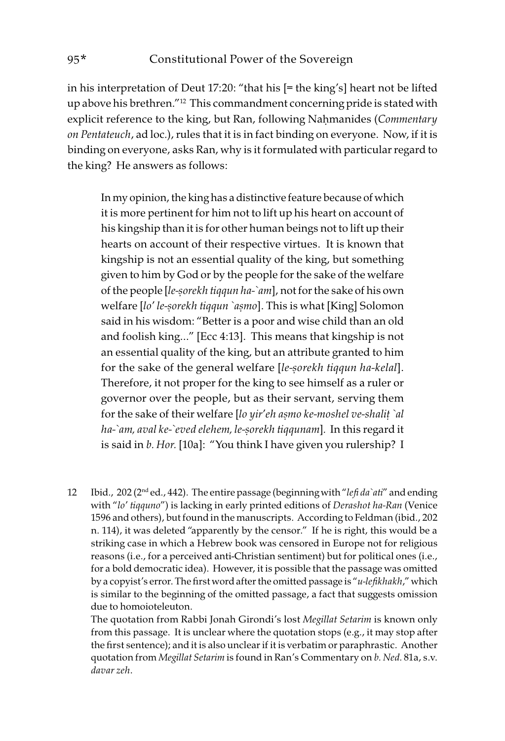in his interpretation of Deut 17:20: "that his [= the king's] heart not be lifted up above his brethren."12 This commandment concerning pride is stated with explicit reference to the king, but Ran, following Naḥmanides (Commentary on Pentateuch, ad loc.), rules that it is in fact binding on everyone. Now, if it is binding on everyone, asks Ran, why is it formulated with particular regard to the king? He answers as follows:

In my opinion, the king has a distinctive feature because of which it is more pertinent for him not to lift up his heart on account of his kingship than it is for other human beings not to lift up their hearts on account of their respective virtues. It is known that kingship is not an essential quality of the king, but something given to him by God or by the people for the sake of the welfare of the people [le-*ṣ*orekh tiqqun ha-`am], not for the sake of his own welfare [lo' le-*ṣ*orekh tiqqun `a*ṣ*mo]. This is what [King] Solomon said in his wisdom: "Better is a poor and wise child than an old and foolish king…" [Ecc 4:13]. This means that kingship is not an essential quality of the king, but an attribute granted to him for the sake of the general welfare [le-*ṣ*orekh tiqqun ha-kelal]. Therefore, it not proper for the king to see himself as a ruler or governor over the people, but as their servant, serving them for the sake of their welfare [lo yir'eh a*ṣ*mo ke-moshel ve-shali*ṭ* `al ha-`am, aval ke-`eved elehem, le-*ṣ*orekh tiqqunam]. In this regard it is said in b. Hor. [10a]: "You think I have given you rulership? I

12 Ibid., 202 (2<sup>nd</sup> ed., 442). The entire passage (beginning with "lefi da`ati" and ending with "lo' tiqquno") is lacking in early printed editions of Derashot ha-Ran (Venice 1596 and others), but found in the manuscripts. According to Feldman (ibid., 202 n. 114), it was deleted "apparently by the censor." If he is right, this would be a striking case in which a Hebrew book was censored in Europe not for religious reasons (i.e., for a perceived anti-Christian sentiment) but for political ones (i.e., for a bold democratic idea). However, it is possible that the passage was omitted by a copyist's error. The first word after the omitted passage is "u-lefikhakh," which is similar to the beginning of the omitted passage, a fact that suggests omission due to homoioteleuton.

The quotation from Rabbi Jonah Girondi's lost Megillat Setarim is known only from this passage. It is unclear where the quotation stops (e.g., it may stop after the first sentence); and it is also unclear if it is verbatim or paraphrastic. Another quotation from Megillat Setarim is found in Ran's Commentary on b. Ned. 81a, s.v. davar zeh.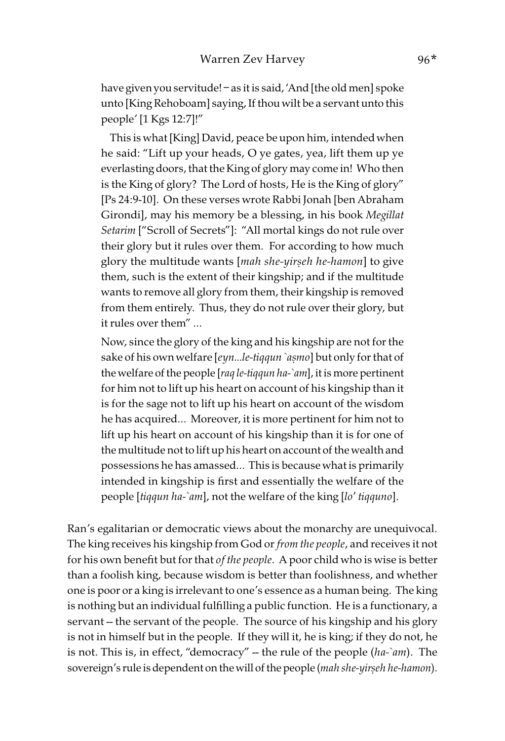have given you servitude! – as it is said, 'And [the old men] spoke unto [King Rehoboam] saying, If thou wilt be a servant unto this people' [1 Kgs 12:7]!"

 This is what [King] David, peace be upon him, intended when he said: "Lift up your heads, O ye gates, yea, lift them up ye everlasting doors, that the King of glory may come in! Who then is the King of glory? The Lord of hosts, He is the King of glory" [Ps 24:9-10]. On these verses wrote Rabbi Jonah [ben Abraham Girondi], may his memory be a blessing, in his book Megillat Setarim ["Scroll of Secrets"]: "All mortal kings do not rule over their glory but it rules over them. For according to how much glory the multitude wants [mah she-yir*ṣ*eh he-hamon] to give them, such is the extent of their kingship; and if the multitude wants to remove all glory from them, their kingship is removed from them entirely. Thus, they do not rule over their glory, but it rules over them" …

Now, since the glory of the king and his kingship are not for the sake of his own welfare [eyn…le-tiqqun `a*ṣ*mo] but only for that of the welfare of the people [raq le-tiqqun ha-`am], it is more pertinent for him not to lift up his heart on account of his kingship than it is for the sage not to lift up his heart on account of the wisdom he has acquired… Moreover, it is more pertinent for him not to lift up his heart on account of his kingship than it is for one of the multitude not to lift up his heart on account of the wealth and possessions he has amassed… This is because what is primarily intended in kingship is first and essentially the welfare of the people [tiqqun ha-`am], not the welfare of the king [lo' tiqquno].

Ran's egalitarian or democratic views about the monarchy are unequivocal. The king receives his kingship from God or from the people, and receives it not for his own benefit but for that of the people. A poor child who is wise is better than a foolish king, because wisdom is better than foolishness, and whether one is poor or a king is irrelevant to one's essence as a human being. The king is nothing but an individual fulfilling a public function. He is a functionary, a servant -- the servant of the people. The source of his kingship and his glory is not in himself but in the people. If they will it, he is king; if they do not, he is not. This is, in effect, "democracy" -- the rule of the people (ha-`am). The sovereign's rule is dependent on the will of the people (mah she-yir*ṣ*eh he-hamon).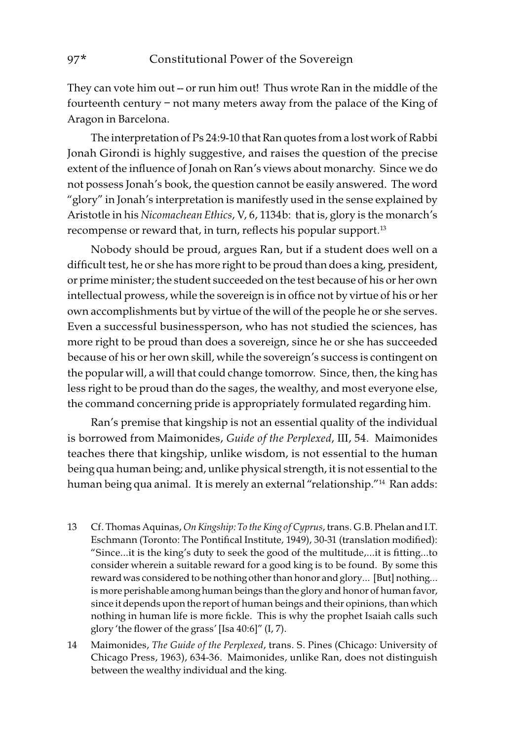They can vote him out -- or run him out! Thus wrote Ran in the middle of the fourteenth century – not many meters away from the palace of the King of Aragon in Barcelona.

The interpretation of Ps 24:9-10 that Ran quotes from a lost work of Rabbi Jonah Girondi is highly suggestive, and raises the question of the precise extent of the influence of Jonah on Ran's views about monarchy. Since we do not possess Jonah's book, the question cannot be easily answered. The word "glory" in Jonah's interpretation is manifestly used in the sense explained by Aristotle in his Nicomachean Ethics, V, 6, 1134b: that is, glory is the monarch's recompense or reward that, in turn, reflects his popular support.<sup>13</sup>

Nobody should be proud, argues Ran, but if a student does well on a difficult test, he or she has more right to be proud than does a king, president, or prime minister; the student succeeded on the test because of his or her own intellectual prowess, while the sovereign is in office not by virtue of his or her own accomplishments but by virtue of the will of the people he or she serves. Even a successful businessperson, who has not studied the sciences, has more right to be proud than does a sovereign, since he or she has succeeded because of his or her own skill, while the sovereign's success is contingent on the popular will, a will that could change tomorrow. Since, then, the king has less right to be proud than do the sages, the wealthy, and most everyone else, the command concerning pride is appropriately formulated regarding him.

Ran's premise that kingship is not an essential quality of the individual is borrowed from Maimonides, Guide of the Perplexed, III, 54. Maimonides teaches there that kingship, unlike wisdom, is not essential to the human being qua human being; and, unlike physical strength, it is not essential to the human being qua animal. It is merely an external "relationship."14 Ran adds:

- 13 Cf. Thomas Aquinas, On Kingship: To the King of Cyprus, trans. G.B. Phelan and I.T. Eschmann (Toronto: The Pontifical Institute, 1949), 30-31 (translation modified): "Since…it is the king's duty to seek the good of the multitude,…it is fitting…to consider wherein a suitable reward for a good king is to be found. By some this reward was considered to be nothing other than honor and glory… [But] nothing… is more perishable among human beings than the glory and honor of human favor, since it depends upon the report of human beings and their opinions, than which nothing in human life is more fickle. This is why the prophet Isaiah calls such glory 'the flower of the grass' [Isa 40:6]" (I, 7).
- 14 Maimonides, The Guide of the Perplexed, trans. S. Pines (Chicago: University of Chicago Press, 1963), 634-36. Maimonides, unlike Ran, does not distinguish between the wealthy individual and the king.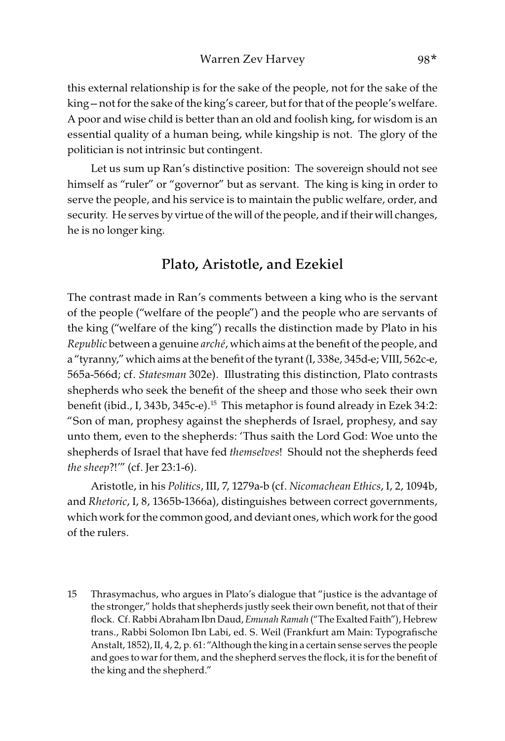this external relationship is for the sake of the people, not for the sake of the king -- not for the sake of the king's career, but for that of the people's welfare. A poor and wise child is better than an old and foolish king, for wisdom is an essential quality of a human being, while kingship is not. The glory of the politician is not intrinsic but contingent.

Let us sum up Ran's distinctive position: The sovereign should not see himself as "ruler" or "governor" but as servant. The king is king in order to serve the people, and his service is to maintain the public welfare, order, and security. He serves by virtue of the will of the people, and if their will changes, he is no longer king.

#### Plato, Aristotle, and Ezekiel

The contrast made in Ran's comments between a king who is the servant of the people ("welfare of the people") and the people who are servants of the king ("welfare of the king") recalls the distinction made by Plato in his Republic between a genuine arché, which aims at the benefit of the people, and a "tyranny," which aims at the benefit of the tyrant (I, 338e, 345d-e; VIII, 562c-e, 565a-566d; cf. Statesman 302e). Illustrating this distinction, Plato contrasts shepherds who seek the benefit of the sheep and those who seek their own benefit (ibid., I, 343b, 345c-e).15 This metaphor is found already in Ezek 34:2: "Son of man, prophesy against the shepherds of Israel, prophesy, and say unto them, even to the shepherds: 'Thus saith the Lord God: Woe unto the shepherds of Israel that have fed themselves! Should not the shepherds feed the sheep?!'" (cf. Jer 23:1-6).

Aristotle, in his Politics, III, 7, 1279a-b (cf. Nicomachean Ethics, I, 2, 1094b, and Rhetoric, I, 8, 1365b-1366a), distinguishes between correct governments, which work for the common good, and deviant ones, which work for the good of the rulers.

<sup>15</sup> Thrasymachus, who argues in Plato's dialogue that "justice is the advantage of the stronger," holds that shepherds justly seek their own benefit, not that of their flock. Cf. Rabbi Abraham Ibn Daud, Emunah Ramah ("The Exalted Faith"), Hebrew trans., Rabbi Solomon Ibn Labi, ed. S. Weil (Frankfurt am Main: Typografische Anstalt, 1852), II, 4, 2, p. 61: "Although the king in a certain sense serves the people and goes to war for them, and the shepherd serves the flock, it is for the benefit of the king and the shepherd."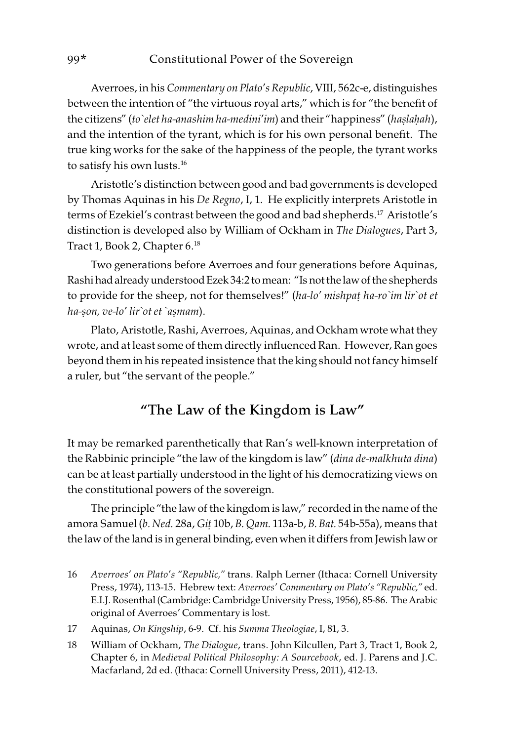Averroes, in his Commentary on Plato's Republic, VIII, 562c-e, distinguishes between the intention of "the virtuous royal arts," which is for "the benefit of the citizens" (to`elet ha-anashim ha-medini'im) and their "happiness" (ha*ṣ*la*ḥ*ah), and the intention of the tyrant, which is for his own personal benefit. The true king works for the sake of the happiness of the people, the tyrant works to satisfy his own lusts.<sup>16</sup>

Aristotle's distinction between good and bad governments is developed by Thomas Aquinas in his De Regno, I, 1. He explicitly interprets Aristotle in terms of Ezekiel's contrast between the good and bad shepherds.<sup>17</sup> Aristotle's distinction is developed also by William of Ockham in The Dialogues, Part 3, Tract 1, Book 2, Chapter 6.18

Two generations before Averroes and four generations before Aquinas, Rashi had already understood Ezek 34:2 to mean: "Is not the law of the shepherds to provide for the sheep, not for themselves!" (ha-lo' mishpa*ṭ* ha-ro`im lir`ot et ha-*ṣ*on, ve-lo' lir`ot et `a*ṣ*mam).

Plato, Aristotle, Rashi, Averroes, Aquinas, and Ockham wrote what they wrote, and at least some of them directly influenced Ran. However, Ran goes beyond them in his repeated insistence that the king should not fancy himself a ruler, but "the servant of the people."

### "The Law of the Kingdom is Law"

It may be remarked parenthetically that Ran's well-known interpretation of the Rabbinic principle "the law of the kingdom is law" (dina de-malkhuta dina) can be at least partially understood in the light of his democratizing views on the constitutional powers of the sovereign.

The principle "the law of the kingdom is law," recorded in the name of the amora Samuel (b. Ned. 28a, Gi*ṭ* 10b, B. Qam. 113a-b, B. Bat. 54b-55a), means that the law of the land is in general binding, even when it differs from Jewish law or

- 16 Averroes' on Plato's "Republic," trans. Ralph Lerner (Ithaca: Cornell University Press, 1974), 113-15. Hebrew text: Averroes' Commentary on Plato's "Republic," ed. E.I.J. Rosenthal (Cambridge: Cambridge University Press, 1956), 85-86. The Arabic original of Averroes' Commentary is lost.
- 17 Aquinas, On Kingship, 6-9. Cf. his Summa Theologiae, I, 81, 3.
- 18 William of Ockham, The Dialogue, trans. John Kilcullen, Part 3, Tract 1, Book 2, Chapter 6, in Medieval Political Philosophy: A Sourcebook, ed. J. Parens and J.C. Macfarland, 2d ed. (Ithaca: Cornell University Press, 2011), 412-13.